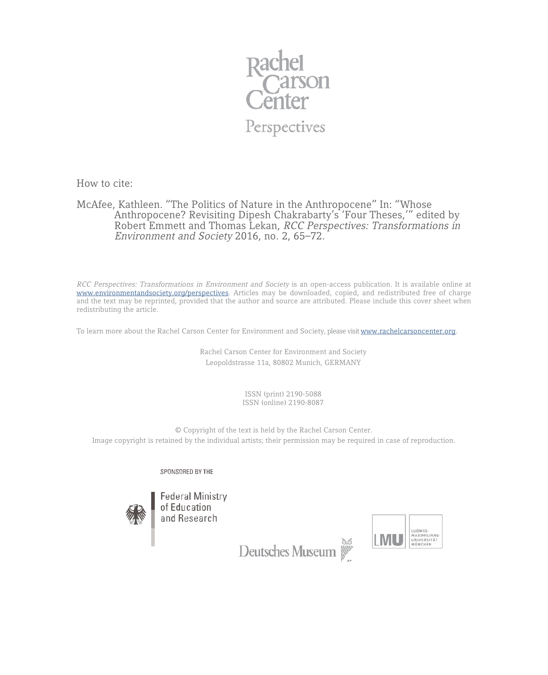

How to cite:

## McAfee, Kathleen. "The Politics of Nature in the Anthropocene" In: "Whose Anthropocene? Revisiting Dipesh Chakrabarty's 'Four Theses,'" edited by Robert Emmett and Thomas Lekan, *RCC Perspectives: Transformations in Environment and Society* 2016, no. 2, 65–72.

*RCC Perspectives: Transformations in Environment and Society* is an open-access publication. It is available online at [www.environmentandsociety.org/perspectives.](http://www.environmentandsociety.org/perspectives) Articles may be downloaded, copied, and redistributed free of charge and the text may be reprinted, provided that the author and source are attributed. Please include this cover sheet when redistributing the article.

To learn more about the Rachel Carson Center for Environment and Society, please visi[t www.rachelcarsoncenter.org.](http://www.rachelcarsoncenter.org/)

Rachel Carson Center for Environment and Society Leopoldstrasse 11a, 80802 Munich, GERMANY

> ISSN (print) 2190-5088 ISSN (online) 2190-8087

© Copyright of the text is held by the Rachel Carson Center. Image copyright is retained by the individual artists; their permission may be required in case of reproduction.

SPONSORED BY THE





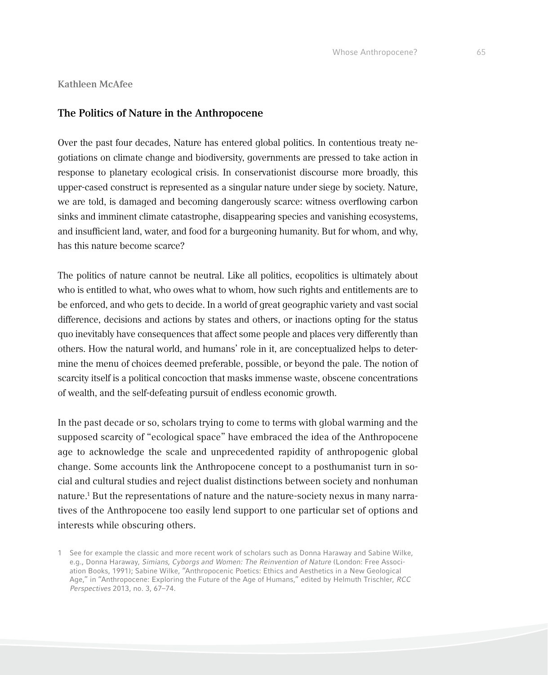**Kathleen McAfee**

## **The Politics of Nature in the Anthropocene**

Over the past four decades, Nature has entered global politics. In contentious treaty negotiations on climate change and biodiversity, governments are pressed to take action in response to planetary ecological crisis. In conservationist discourse more broadly, this upper-cased construct is represented as a singular nature under siege by society. Nature, we are told, is damaged and becoming dangerously scarce: witness overflowing carbon sinks and imminent climate catastrophe, disappearing species and vanishing ecosystems, and insufficient land, water, and food for a burgeoning humanity. But for whom, and why, has this nature become scarce?

The politics of nature cannot be neutral. Like all politics, ecopolitics is ultimately about who is entitled to what, who owes what to whom, how such rights and entitlements are to be enforced, and who gets to decide. In a world of great geographic variety and vast social difference, decisions and actions by states and others, or inactions opting for the status quo inevitably have consequences that affect some people and places very differently than others. How the natural world, and humans' role in it, are conceptualized helps to determine the menu of choices deemed preferable, possible, or beyond the pale. The notion of scarcity itself is a political concoction that masks immense waste, obscene concentrations of wealth, and the self-defeating pursuit of endless economic growth.

In the past decade or so, scholars trying to come to terms with global warming and the supposed scarcity of "ecological space" have embraced the idea of the Anthropocene age to acknowledge the scale and unprecedented rapidity of anthropogenic global change. Some accounts link the Anthropocene concept to a posthumanist turn in social and cultural studies and reject dualist distinctions between society and nonhuman nature.1 But the representations of nature and the nature-society nexus in many narratives of the Anthropocene too easily lend support to one particular set of options and interests while obscuring others.

<sup>1</sup> See for example the classic and more recent work of scholars such as Donna Haraway and Sabine Wilke, e.g., Donna Haraway, *Simians, Cyborgs and Women: The Reinvention of Nature* (London: Free Association Books, 1991); Sabine Wilke, "Anthropocenic Poetics: Ethics and Aesthetics in a New Geological Age," in "Anthropocene: Exploring the Future of the Age of Humans," edited by Helmuth Trischler, *RCC Perspectives* 2013, no. 3, 67–74.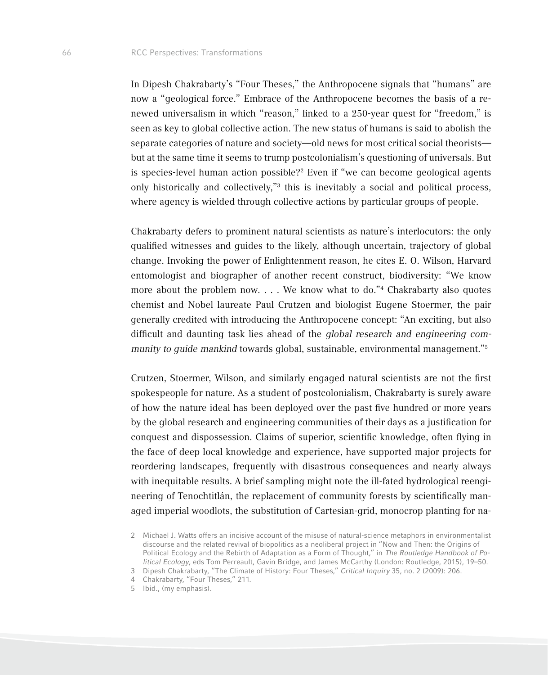In Dipesh Chakrabarty's "Four Theses," the Anthropocene signals that "humans" are now a "geological force." Embrace of the Anthropocene becomes the basis of a renewed universalism in which "reason," linked to a 250-year quest for "freedom," is seen as key to global collective action. The new status of humans is said to abolish the separate categories of nature and society—old news for most critical social theorists but at the same time it seems to trump postcolonialism's questioning of universals. But is species-level human action possible?<sup>2</sup> Even if "we can become geological agents only historically and collectively,"3 this is inevitably a social and political process, where agency is wielded through collective actions by particular groups of people.

Chakrabarty defers to prominent natural scientists as nature's interlocutors: the only qualified witnesses and guides to the likely, although uncertain, trajectory of global change. Invoking the power of Enlightenment reason, he cites E. O. Wilson, Harvard entomologist and biographer of another recent construct, biodiversity: "We know more about the problem now. . . . We know what to do."4 Chakrabarty also quotes chemist and Nobel laureate Paul Crutzen and biologist Eugene Stoermer, the pair generally credited with introducing the Anthropocene concept: "An exciting, but also difficult and daunting task lies ahead of the *global research and engineering community to guide mankind* towards global, sustainable, environmental management."5

Crutzen, Stoermer, Wilson, and similarly engaged natural scientists are not the first spokespeople for nature. As a student of postcolonialism, Chakrabarty is surely aware of how the nature ideal has been deployed over the past five hundred or more years by the global research and engineering communities of their days as a justification for conquest and dispossession. Claims of superior, scientific knowledge, often flying in the face of deep local knowledge and experience, have supported major projects for reordering landscapes, frequently with disastrous consequences and nearly always with inequitable results. A brief sampling might note the ill-fated hydrological reengineering of Tenochtitlán, the replacement of community forests by scientifically managed imperial woodlots, the substitution of Cartesian-grid, monocrop planting for na-

<sup>2</sup> Michael J. Watts offers an incisive account of the misuse of natural-science metaphors in environmentalist discourse and the related revival of biopolitics as a neoliberal project in "Now and Then: the Origins of Political Ecology and the Rebirth of Adaptation as a Form of Thought," in *The Routledge Handbook of Political Ecology*, eds Tom Perreault, Gavin Bridge, and James McCarthy (London: Routledge, 2015), 19–50.

<sup>3</sup> Dipesh Chakrabarty, "The Climate of History: Four Theses," *Critical Inquiry* 35, no. 2 (2009): 206.

<sup>4</sup> Chakrabarty, "Four Theses," 211.

<sup>5</sup> Ibid., (my emphasis).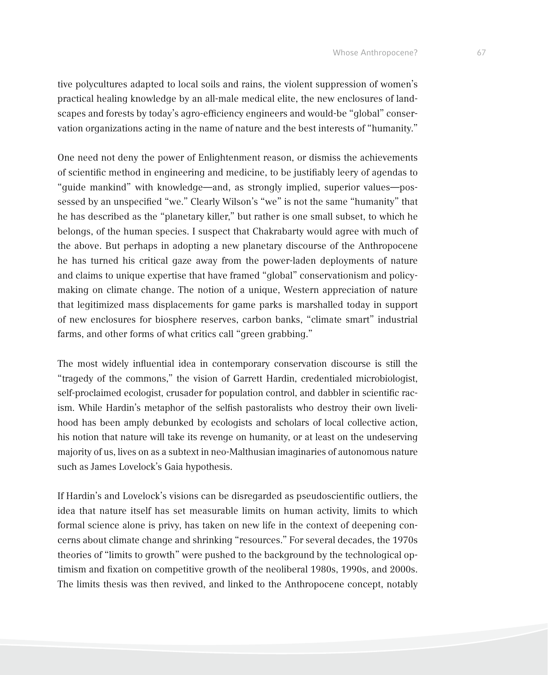tive polycultures adapted to local soils and rains, the violent suppression of women's practical healing knowledge by an all-male medical elite, the new enclosures of landscapes and forests by today's agro-efficiency engineers and would-be "global" conservation organizations acting in the name of nature and the best interests of "humanity."

One need not deny the power of Enlightenment reason, or dismiss the achievements of scientific method in engineering and medicine, to be justifiably leery of agendas to "guide mankind" with knowledge—and, as strongly implied, superior values—possessed by an unspecified "we." Clearly Wilson's "we" is not the same "humanity" that he has described as the "planetary killer," but rather is one small subset, to which he belongs, of the human species. I suspect that Chakrabarty would agree with much of the above. But perhaps in adopting a new planetary discourse of the Anthropocene he has turned his critical gaze away from the power-laden deployments of nature and claims to unique expertise that have framed "global" conservationism and policymaking on climate change. The notion of a unique, Western appreciation of nature that legitimized mass displacements for game parks is marshalled today in support of new enclosures for biosphere reserves, carbon banks, "climate smart" industrial farms, and other forms of what critics call "green grabbing."

The most widely influential idea in contemporary conservation discourse is still the "tragedy of the commons," the vision of Garrett Hardin, credentialed microbiologist, self-proclaimed ecologist, crusader for population control, and dabbler in scientific racism. While Hardin's metaphor of the selfish pastoralists who destroy their own livelihood has been amply debunked by ecologists and scholars of local collective action, his notion that nature will take its revenge on humanity, or at least on the undeserving majority of us, lives on as a subtext in neo-Malthusian imaginaries of autonomous nature such as James Lovelock's Gaia hypothesis.

If Hardin's and Lovelock's visions can be disregarded as pseudoscientific outliers, the idea that nature itself has set measurable limits on human activity, limits to which formal science alone is privy, has taken on new life in the context of deepening concerns about climate change and shrinking "resources." For several decades, the 1970s theories of "limits to growth" were pushed to the background by the technological optimism and fixation on competitive growth of the neoliberal 1980s, 1990s, and 2000s. The limits thesis was then revived, and linked to the Anthropocene concept, notably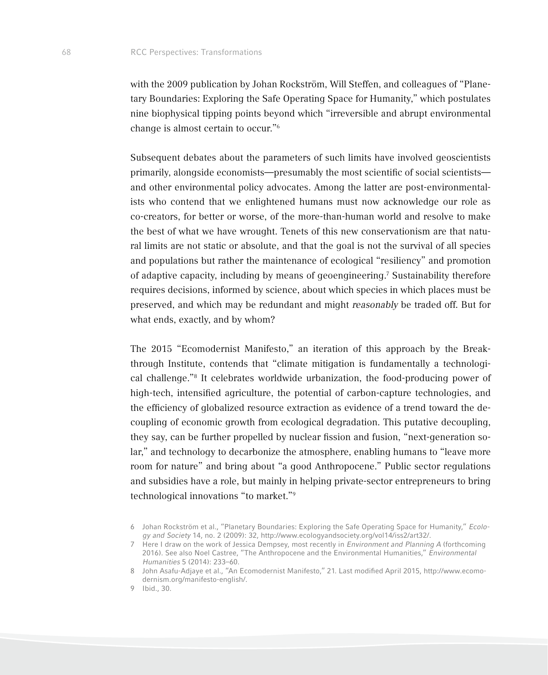with the 2009 publication by Johan Rockström, Will Steffen, and colleagues of "Planetary Boundaries: Exploring the Safe Operating Space for Humanity," which postulates nine biophysical tipping points beyond which "irreversible and abrupt environmental change is almost certain to occur."6

Subsequent debates about the parameters of such limits have involved geoscientists primarily, alongside economists—presumably the most scientific of social scientists and other environmental policy advocates. Among the latter are post-environmentalists who contend that we enlightened humans must now acknowledge our role as co-creators, for better or worse, of the more-than-human world and resolve to make the best of what we have wrought. Tenets of this new conservationism are that natural limits are not static or absolute, and that the goal is not the survival of all species and populations but rather the maintenance of ecological "resiliency" and promotion of adaptive capacity, including by means of geoengineering.<sup>7</sup> Sustainability therefore requires decisions, informed by science, about which species in which places must be preserved, and which may be redundant and might *reasonably* be traded off. But for what ends, exactly, and by whom?

The 2015 "Ecomodernist Manifesto," an iteration of this approach by the Breakthrough Institute, contends that "climate mitigation is fundamentally a technological challenge."8 It celebrates worldwide urbanization, the food-producing power of high-tech, intensified agriculture, the potential of carbon-capture technologies, and the efficiency of globalized resource extraction as evidence of a trend toward the decoupling of economic growth from ecological degradation. This putative decoupling, they say, can be further propelled by nuclear fission and fusion, "next-generation solar," and technology to decarbonize the atmosphere, enabling humans to "leave more room for nature" and bring about "a good Anthropocene." Public sector regulations and subsidies have a role, but mainly in helping private-sector entrepreneurs to bring technological innovations "to market."9

<sup>6</sup> Johan Rockström et al., "Planetary Boundaries: Exploring the Safe Operating Space for Humanity," *Ecology and Society* 14, no. 2 (2009): 32, http://www.ecologyandsociety.org/vol14/iss2/art32/.

<sup>7</sup> Here I draw on the work of Jessica Dempsey, most recently in *Environment and Planning A* (forthcoming 2016). See also Noel Castree, "The Anthropocene and the Environmental Humanities," *Environmental Humanities* 5 (2014): 233–60.

<sup>8</sup> John Asafu-Adjaye et al., "An Ecomodernist Manifesto," 21. Last modified April 2015, http://www.ecomodernism.org/manifesto-english/.

<sup>9</sup> Ibid., 30.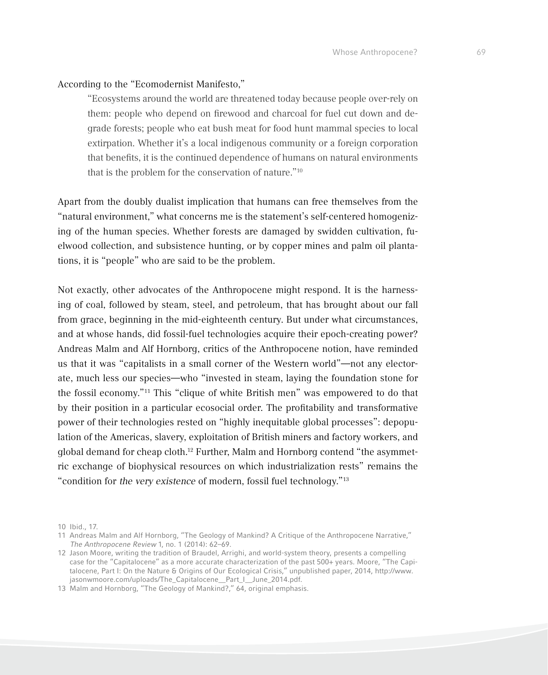## According to the "Ecomodernist Manifesto,"

"Ecosystems around the world are threatened today because people over-rely on them: people who depend on firewood and charcoal for fuel cut down and degrade forests; people who eat bush meat for food hunt mammal species to local extirpation. Whether it's a local indigenous community or a foreign corporation that benefits, it is the continued dependence of humans on natural environments that is the problem for the conservation of nature."10

Apart from the doubly dualist implication that humans can free themselves from the "natural environment," what concerns me is the statement's self-centered homogenizing of the human species. Whether forests are damaged by swidden cultivation, fuelwood collection, and subsistence hunting, or by copper mines and palm oil plantations, it is "people" who are said to be the problem.

Not exactly, other advocates of the Anthropocene might respond. It is the harnessing of coal, followed by steam, steel, and petroleum, that has brought about our fall from grace, beginning in the mid-eighteenth century. But under what circumstances, and at whose hands, did fossil-fuel technologies acquire their epoch-creating power? Andreas Malm and Alf Hornborg, critics of the Anthropocene notion, have reminded us that it was "capitalists in a small corner of the Western world"—not any electorate, much less our species—who "invested in steam, laying the foundation stone for the fossil economy."11 This "clique of white British men" was empowered to do that by their position in a particular ecosocial order. The profitability and transformative power of their technologies rested on "highly inequitable global processes": depopulation of the Americas, slavery, exploitation of British miners and factory workers, and global demand for cheap cloth.12 Further, Malm and Hornborg contend "the asymmetric exchange of biophysical resources on which industrialization rests" remains the "condition for *the very existence* of modern, fossil fuel technology."13

<sup>10</sup> Ibid., 17.

<sup>11</sup> Andreas Malm and Alf Hornborg, "The Geology of Mankind? A Critique of the Anthropocene Narrative," *The Anthropocene Review* 1, no. 1 (2014): 62–69.

<sup>12</sup> Jason Moore, writing the tradition of Braudel, Arrighi, and world-system theory, presents a compelling case for the "Capitalocene" as a more accurate characterization of the past 500+ years. Moore, "The Capitalocene, Part I: On the Nature & Origins of Our Ecological Crisis," unpublished paper, 2014, http://www. jasonwmoore.com/uploads/The\_Capitalocene\_\_Part\_I\_\_June\_2014.pdf.

<sup>13</sup> Malm and Hornborg, "The Geology of Mankind?," 64, original emphasis.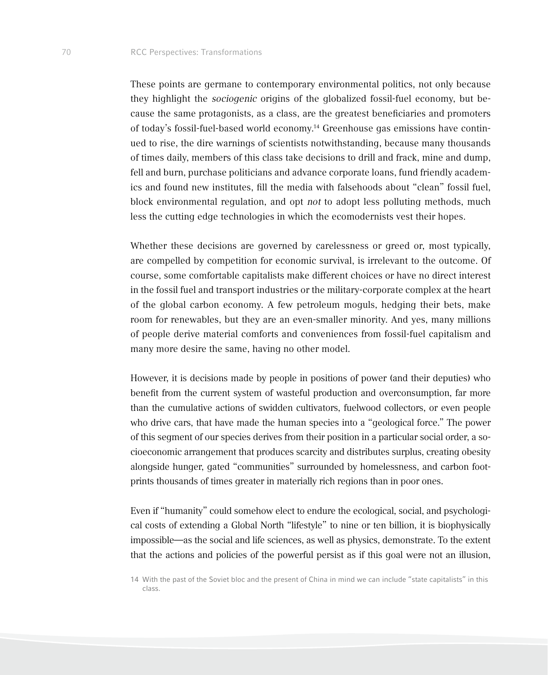These points are germane to contemporary environmental politics, not only because they highlight the *sociogenic* origins of the globalized fossil-fuel economy, but because the same protagonists, as a class, are the greatest beneficiaries and promoters of today's fossil-fuel-based world economy.14 Greenhouse gas emissions have continued to rise, the dire warnings of scientists notwithstanding, because many thousands of times daily, members of this class take decisions to drill and frack, mine and dump, fell and burn, purchase politicians and advance corporate loans, fund friendly academics and found new institutes, fill the media with falsehoods about "clean" fossil fuel, block environmental regulation, and opt *not* to adopt less polluting methods, much less the cutting edge technologies in which the ecomodernists vest their hopes.

Whether these decisions are governed by carelessness or greed or, most typically, are compelled by competition for economic survival, is irrelevant to the outcome. Of course, some comfortable capitalists make different choices or have no direct interest in the fossil fuel and transport industries or the military-corporate complex at the heart of the global carbon economy. A few petroleum moguls, hedging their bets, make room for renewables, but they are an even-smaller minority. And yes, many millions of people derive material comforts and conveniences from fossil-fuel capitalism and many more desire the same, having no other model.

However, it is decisions made by people in positions of power (and their deputies) who benefit from the current system of wasteful production and overconsumption, far more than the cumulative actions of swidden cultivators, fuelwood collectors, or even people who drive cars, that have made the human species into a "geological force." The power of this segment of our species derives from their position in a particular social order, a socioeconomic arrangement that produces scarcity and distributes surplus, creating obesity alongside hunger, gated "communities" surrounded by homelessness, and carbon footprints thousands of times greater in materially rich regions than in poor ones.

Even if "humanity" could somehow elect to endure the ecological, social, and psychological costs of extending a Global North "lifestyle" to nine or ten billion, it is biophysically impossible—as the social and life sciences, as well as physics, demonstrate. To the extent that the actions and policies of the powerful persist as if this goal were not an illusion,

<sup>14</sup> With the past of the Soviet bloc and the present of China in mind we can include "state capitalists" in this class.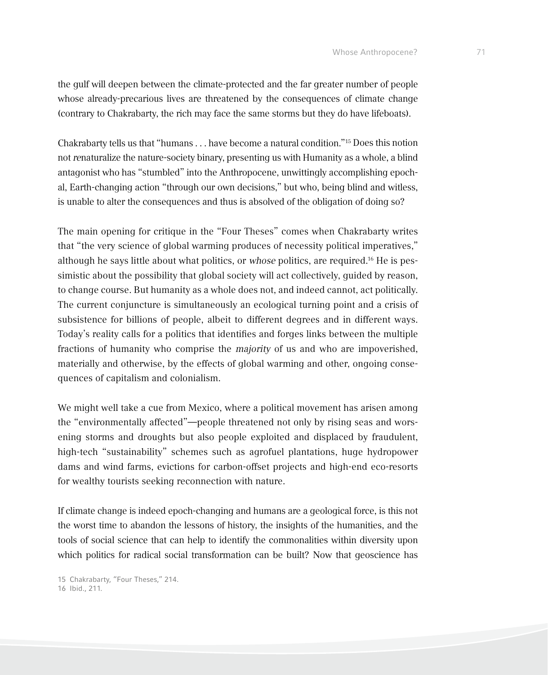the gulf will deepen between the climate-protected and the far greater number of people whose already-precarious lives are threatened by the consequences of climate change (contrary to Chakrabarty, the rich may face the same storms but they do have lifeboats).

Chakrabarty tells us that "humans . . . have become a natural condition."15 Does this notion not *re*naturalize the nature-society binary, presenting us with Humanity as a whole, a blind antagonist who has "stumbled" into the Anthropocene, unwittingly accomplishing epochal, Earth-changing action "through our own decisions," but who, being blind and witless, is unable to alter the consequences and thus is absolved of the obligation of doing so?

The main opening for critique in the "Four Theses" comes when Chakrabarty writes that "the very science of global warming produces of necessity political imperatives," although he says little about what politics, or *whose* politics, are required.16 He is pessimistic about the possibility that global society will act collectively, guided by reason, to change course. But humanity as a whole does not, and indeed cannot, act politically. The current conjuncture is simultaneously an ecological turning point and a crisis of subsistence for billions of people, albeit to different degrees and in different ways. Today's reality calls for a politics that identifies and forges links between the multiple fractions of humanity who comprise the *majority* of us and who are impoverished, materially and otherwise, by the effects of global warming and other, ongoing consequences of capitalism and colonialism.

We might well take a cue from Mexico, where a political movement has arisen among the "environmentally affected"—people threatened not only by rising seas and worsening storms and droughts but also people exploited and displaced by fraudulent, high-tech "sustainability" schemes such as agrofuel plantations, huge hydropower dams and wind farms, evictions for carbon-offset projects and high-end eco-resorts for wealthy tourists seeking reconnection with nature.

If climate change is indeed epoch-changing and humans are a geological force, is this not the worst time to abandon the lessons of history, the insights of the humanities, and the tools of social science that can help to identify the commonalities within diversity upon which politics for radical social transformation can be built? Now that geoscience has

15 Chakrabarty, "Four Theses," 214.

16 Ibid., 211.